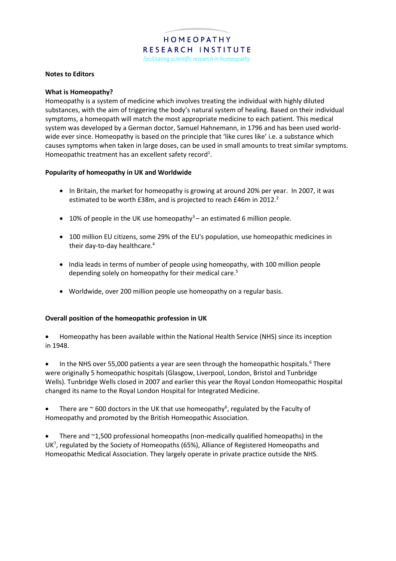### **Notes to Editors**

### **What is Homeopathy?**

Homeopathy is a system of medicine which involves treating the individual with highly diluted substances, with the aim of triggering the body's natural system of healing. Based on their individual symptoms, a homeopath will match the most appropriate medicine to each patient. This medical system was developed by a German doctor, Samuel Hahnemann, in 1796 and has been used worldwide ever since. Homeopathy is based on the principle that 'like cures like' i.e. a substance which causes symptoms when taken in large doses, can be used in small amounts to treat similar symptoms. Homeopathic treatment has an excellent safety record<sup>1</sup>.

### **Popularity of homeopathy in UK and Worldwide**

- In Britain, the market for homeopathy is growing at around 20% per year. In 2007, it was estimated to be worth £38m, and is projected to reach £46m in 2012.<sup>2</sup>
- $\bullet$  10% of people in the UK use homeopathy<sup>3</sup> an estimated 6 million people.
- 100 million EU citizens, some 29% of the EU's population, use homeopathic medicines in their day-to-day healthcare.<sup>4</sup>
- India leads in terms of number of people using homeopathy, with 100 million people depending solely on homeopathy for their medical care. 5
- Worldwide, over 200 million people use homeopathy on a regular basis.

### **Overall position of the homeopathic profession in UK**

 Homeopathy has been available within the National Health Service (NHS) since its inception in 1948.

• In the NHS over 55,000 patients a year are seen through the homeopathic hospitals.<sup>6</sup> There were originally 5 homeopathic hospitals (Glasgow, Liverpool, London, Bristol and Tunbridge Wells). Tunbridge Wells closed in 2007 and earlier this year the Royal London Homeopathic Hospital changed its name to the Royal London Hospital for Integrated Medicine.

• There are  $\sim$  600 doctors in the UK that use homeopathy<sup>6</sup>, regulated by the Faculty of Homeopathy and promoted by the British Homeopathic Association.

 There and ~1,500 professional homeopaths (non-medically qualified homeopaths) in the UK<sup>7</sup>, regulated by the Society of Homeopaths (65%), Alliance of Registered Homeopaths and Homeopathic Medical Association. They largely operate in private practice outside the NHS.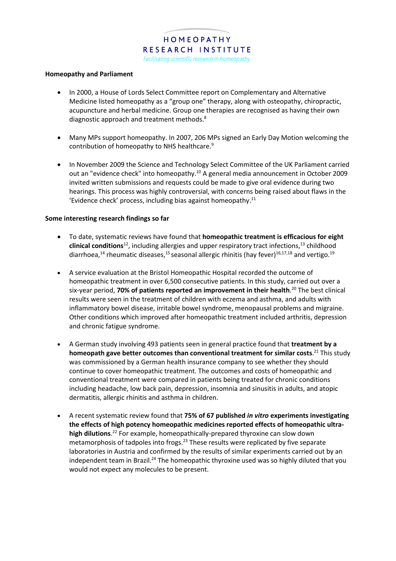# HOMEOPATHY RESEARCH INSTITUTE

Facilitating scientific research in homeopathy

### **Homeopathy and Parliament**

- In 2000, a House of Lords Select Committee report on Complementary and Alternative Medicine listed homeopathy as a "group one" therapy, along with osteopathy, chiropractic, acupuncture and herbal medicine. Group one therapies are recognised as having their own diagnostic approach and treatment methods.<sup>8</sup>
- Many MPs support homeopathy. In 2007, 206 MPs signed an Early Day Motion welcoming the contribution of homeopathy to NHS healthcare.<sup>9</sup>
- In November 2009 the Science and Technology Select Committee of the UK Parliament carried out an "evidence check" into homeopathy.<sup>10</sup> A general media announcement in October 2009 invited written submissions and requests could be made to give oral evidence during two hearings. This process was highly controversial, with concerns being raised about flaws in the 'Evidence check' process, including bias against homeopathy. 11

### **Some interesting research findings so far**

- To date, systematic reviews have found that **homeopathic treatment is efficacious for eight clinical conditions**<sup>12</sup>, including allergies and upper respiratory tract infections,<sup>13</sup> childhood diarrhoea,<sup>14</sup> rheumatic diseases,<sup>15</sup> seasonal allergic rhinitis (hay fever)<sup>16,17,18</sup> and vertigo.<sup>19</sup>
- A service evaluation at the Bristol Homeopathic Hospital recorded the outcome of homeopathic treatment in over 6,500 consecutive patients. In this study, carried out over a six-year period, **70% of patients reported an improvement in their health**. <sup>20</sup> The best clinical results were seen in the treatment of children with eczema and asthma, and adults with inflammatory bowel disease, irritable bowel syndrome, menopausal problems and migraine. Other conditions which improved after homeopathic treatment included arthritis, depression and chronic fatigue syndrome.
- A German study involving 493 patients seen in general practice found that **treatment by a homeopath gave better outcomes than conventional treatment for similar costs**. <sup>21</sup> This study was commissioned by a German health insurance company to see whether they should continue to cover homeopathic treatment. The outcomes and costs of homeopathic and conventional treatment were compared in patients being treated for chronic conditions including headache, low back pain, depression, insomnia and sinusitis in adults, and atopic dermatitis, allergic rhinitis and asthma in children.
- A recent systematic review found that **75% of 67 published** *in vitro* **experiments investigating the effects of high potency homeopathic medicines reported effects of homeopathic ultrahigh dilutions**. <sup>22</sup> For example, homeopathically-prepared thyroxine can slow down metamorphosis of tadpoles into frogs.<sup>23</sup> These results were replicated by five separate laboratories in Austria and confirmed by the results of similar experiments carried out by an independent team in Brazil.<sup>24</sup> The homeopathic thyroxine used was so highly diluted that you would not expect any molecules to be present.